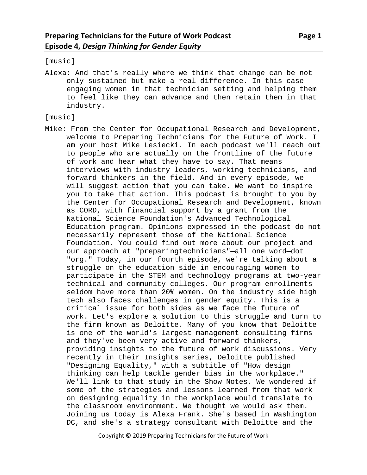[music]

Alexa: And that's really where we think that change can be not only sustained but make a real difference. In this case engaging women in that technician setting and helping them to feel like they can advance and then retain them in that industry.

[music]

Mike: From the Center for Occupational Research and Development, welcome to Preparing Technicians for the Future of Work. I am your host Mike Lesiecki. In each podcast we'll reach out to people who are actually on the frontline of the future of work and hear what they have to say. That means interviews with industry leaders, working technicians, and forward thinkers in the field. And in every episode, we will suggest action that you can take. We want to inspire you to take that action. This podcast is brought to you by the Center for Occupational Research and Development, known as CORD, with financial support by a grant from the National Science Foundation's Advanced Technological Education program. Opinions expressed in the podcast do not necessarily represent those of the National Science Foundation. You could find out more about our project and our approach at "preparingtechnicians"—all one word—dot "org." Today, in our fourth episode, we're talking about a struggle on the education side in encouraging women to participate in the STEM and technology programs at two-year technical and community colleges. Our program enrollments seldom have more than 20% women. On the industry side high tech also faces challenges in gender equity. This is a critical issue for both sides as we face the future of work. Let's explore a solution to this struggle and turn to the firm known as Deloitte. Many of you know that Deloitte is one of the world's largest management consulting firms and they've been very active and forward thinkers, providing insights to the future of work discussions. Very recently in their Insights series, Deloitte published "Designing Equality," with a subtitle of "How design thinking can help tackle gender bias in the workplace." We'll link to that study in the Show Notes. We wondered if some of the strategies and lessons learned from that work on designing equality in the workplace would translate to the classroom environment. We thought we would ask them. Joining us today is Alexa Frank. She's based in Washington DC, and she's a strategy consultant with Deloitte and the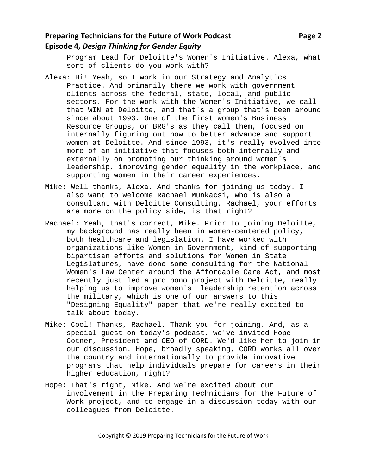Program Lead for Deloitte's Women's Initiative. Alexa, what sort of clients do you work with?

- Alexa: Hi! Yeah, so I work in our Strategy and Analytics Practice. And primarily there we work with government clients across the federal, state, local, and public sectors. For the work with the Women's Initiative, we call that WIN at Deloitte, and that's a group that's been around since about 1993. One of the first women's Business Resource Groups, or BRG's as they call them, focused on internally figuring out how to better advance and support women at Deloitte. And since 1993, it's really evolved into more of an initiative that focuses both internally and externally on promoting our thinking around women's leadership, improving gender equality in the workplace, and supporting women in their career experiences.
- Mike: Well thanks, Alexa. And thanks for joining us today. I also want to welcome Rachael Munkacsi, who is also a consultant with Deloitte Consulting. Rachael, your efforts are more on the policy side, is that right?
- Rachael: Yeah, that's correct, Mike. Prior to joining Deloitte, my background has really been in women-centered policy, both healthcare and legislation. I have worked with organizations like Women in Government, kind of supporting bipartisan efforts and solutions for Women in State Legislatures, have done some consulting for the National Women's Law Center around the Affordable Care Act, and most recently just led a pro bono project with Deloitte, really helping us to improve women's leadership retention across the military, which is one of our answers to this "Designing Equality" paper that we're really excited to talk about today.
- Mike: Cool! Thanks, Rachael. Thank you for joining. And, as a special guest on today's podcast, we've invited Hope Cotner, President and CEO of CORD. We'd like her to join in our discussion. Hope, broadly speaking, CORD works all over the country and internationally to provide innovative programs that help individuals prepare for careers in their higher education, right?
- Hope: That's right, Mike. And we're excited about our involvement in the Preparing Technicians for the Future of Work project, and to engage in a discussion today with our colleagues from Deloitte.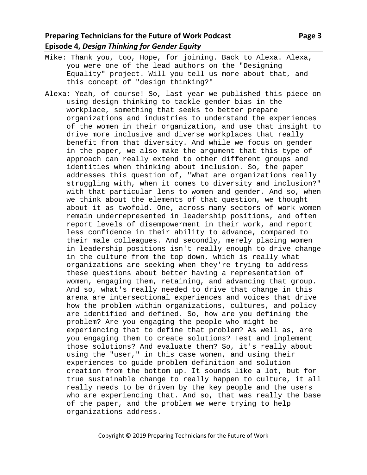- Mike: Thank you, too, Hope, for joining. Back to Alexa. Alexa, you were one of the lead authors on the "Designing Equality" project. Will you tell us more about that, and this concept of "design thinking?"
- Alexa: Yeah, of course! So, last year we published this piece on using design thinking to tackle gender bias in the workplace, something that seeks to better prepare organizations and industries to understand the experiences of the women in their organization, and use that insight to drive more inclusive and diverse workplaces that really benefit from that diversity. And while we focus on gender in the paper, we also make the argument that this type of approach can really extend to other different groups and identities when thinking about inclusion. So, the paper addresses this question of, "What are organizations really struggling with, when it comes to diversity and inclusion?" with that particular lens to women and gender. And so, when we think about the elements of that question, we thought about it as twofold. One, across many sectors of work women remain underrepresented in leadership positions, and often report levels of disempowerment in their work, and report less confidence in their ability to advance, compared to their male colleagues. And secondly, merely placing women in leadership positions isn't really enough to drive change in the culture from the top down, which is really what organizations are seeking when they're trying to address these questions about better having a representation of women, engaging them, retaining, and advancing that group. And so, what's really needed to drive that change in this arena are intersectional experiences and voices that drive how the problem within organizations, cultures, and policy are identified and defined. So, how are you defining the problem? Are you engaging the people who might be experiencing that to define that problem? As well as, are you engaging them to create solutions? Test and implement those solutions? And evaluate them? So, it's really about using the "user," in this case women, and using their experiences to guide problem definition and solution creation from the bottom up. It sounds like a lot, but for true sustainable change to really happen to culture, it all really needs to be driven by the key people and the users who are experiencing that. And so, that was really the base of the paper, and the problem we were trying to help organizations address.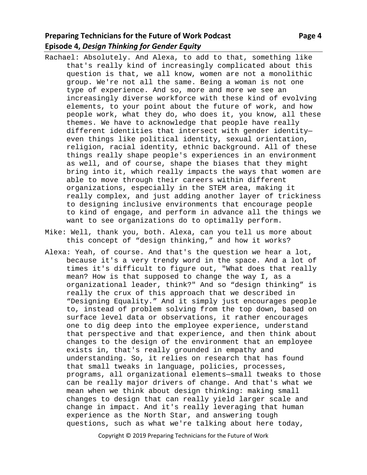# **Preparing Technicians for the Future of Work Podcast Page 4 Approximate Page 4 Episode 4,** *Design Thinking for Gender Equity*

- Rachael: Absolutely. And Alexa, to add to that, something like that's really kind of increasingly complicated about this question is that, we all know, women are not a monolithic group. We're not all the same. Being a woman is not one type of experience. And so, more and more we see an increasingly diverse workforce with these kind of evolving elements, to your point about the future of work, and how people work, what they do, who does it, you know, all these themes. We have to acknowledge that people have really different identities that intersect with gender identity even things like political identity, sexual orientation, religion, racial identity, ethnic background. All of these things really shape people's experiences in an environment as well, and of course, shape the biases that they might bring into it, which really impacts the ways that women are able to move through their careers within different organizations, especially in the STEM area, making it really complex, and just adding another layer of trickiness to designing inclusive environments that encourage people to kind of engage, and perform in advance all the things we want to see organizations do to optimally perform.
- Mike: Well, thank you, both. Alexa, can you tell us more about this concept of "design thinking," and how it works?
- Alexa: Yeah, of course. And that's the question we hear a lot, because it's a very trendy word in the space. And a lot of times it's difficult to figure out, "What does that really mean? How is that supposed to change the way I, as a organizational leader, think?" And so "design thinking" is really the crux of this approach that we described in "Designing Equality." And it simply just encourages people to, instead of problem solving from the top down, based on surface level data or observations, it rather encourages one to dig deep into the employee experience, understand that perspective and that experience, and then think about changes to the design of the environment that an employee exists in, that's really grounded in empathy and understanding. So, it relies on research that has found that small tweaks in language, policies, processes, programs, all organizational elements—small tweaks to those can be really major drivers of change. And that's what we mean when we think about design thinking: making small changes to design that can really yield larger scale and change in impact. And it's really leveraging that human experience as the North Star, and answering tough questions, such as what we're talking about here today,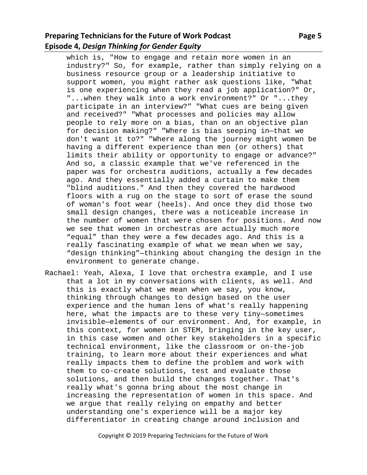### **Preparing Technicians for the Future of Work Podcast Page 5 Episode 4,** *Design Thinking for Gender Equity*

which is, "How to engage and retain more women in an industry?" So, for example, rather than simply relying on a business resource group or a leadership initiative to support women, you might rather ask questions like, "What is one experiencing when they read a job application?" Or, "...when they walk into a work environment?" Or "...they participate in an interview?" "What cues are being given and received?" "What processes and policies may allow people to rely more on a bias, than on an objective plan for decision making?" "Where is bias seeping in—that we don't want it to?" "Where along the journey might women be having a different experience than men (or others) that limits their ability or opportunity to engage or advance?" And so, a classic example that we've referenced in the paper was for orchestra auditions, actually a few decades ago. And they essentially added a curtain to make them "blind auditions." And then they covered the hardwood floors with a rug on the stage to sort of erase the sound of woman's foot wear (heels). And once they did those two small design changes, there was a noticeable increase in the number of women that were chosen for positions. And now we see that women in orchestras are actually much more "equal" than they were a few decades ago. And this is a really fascinating example of what we mean when we say, "design thinking"—thinking about changing the design in the environment to generate change.

Rachael: Yeah, Alexa, I love that orchestra example, and I use that a lot in my conversations with clients, as well. And this is exactly what we mean when we say, you know, thinking through changes to design based on the user experience and the human lens of what's really happening here, what the impacts are to these very tiny—sometimes invisible—elements of our environment. And, for example, in this context, for women in STEM, bringing in the key user, in this case women and other key stakeholders in a specific technical environment, like the classroom or on-the-job training, to learn more about their experiences and what really impacts them to define the problem and work with them to co-create solutions, test and evaluate those solutions, and then build the changes together. That's really what's gonna bring about the most change in increasing the representation of women in this space. And we argue that really relying on empathy and better understanding one's experience will be a major key differentiator in creating change around inclusion and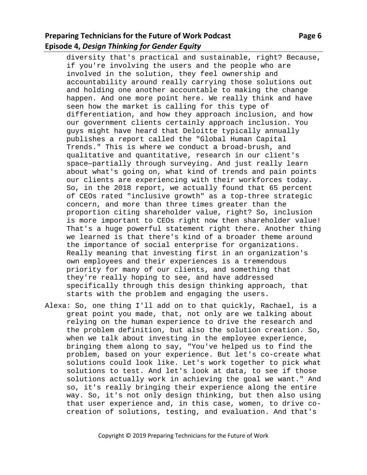# **Preparing Technicians for the Future of Work Podcast Page 6 <b>Page 6 Episode 4,** *Design Thinking for Gender Equity*

diversity that's practical and sustainable, right? Because, if you're involving the users and the people who are involved in the solution, they feel ownership and accountability around really carrying those solutions out and holding one another accountable to making the change happen. And one more point here. We really think and have seen how the market is calling for this type of differentiation, and how they approach inclusion, and how our government clients certainly approach inclusion. You guys might have heard that Deloitte typically annually publishes a report called the "Global Human Capital Trends." This is where we conduct a broad-brush, and qualitative and quantitative, research in our client's space—partially through surveying. And just really learn about what's going on, what kind of trends and pain points our clients are experiencing with their workforces today. So, in the 2018 report, we actually found that 65 percent of CEOs rated "inclusive growth" as a top-three strategic concern, and more than three times greater than the proportion citing shareholder value, right? So, inclusion is more important to CEOs right now then shareholder value! That's a huge powerful statement right there. Another thing we learned is that there's kind of a broader theme around the importance of social enterprise for organizations. Really meaning that investing first in an organization's own employees and their experiences is a tremendous priority for many of our clients, and something that they're really hoping to see, and have addressed specifically through this design thinking approach, that starts with the problem and engaging the users.

Alexa: So, one thing I'll add on to that quickly, Rachael, is a great point you made, that, not only are we talking about relying on the human experience to drive the research and the problem definition, but also the solution creation. So, when we talk about investing in the employee experience, bringing them along to say, "You've helped us to find the problem, based on your experience. But let's co-create what solutions could look like. Let's work together to pick what solutions to test. And let's look at data, to see if those solutions actually work in achieving the goal we want." And so, it's really bringing their experience along the entire way. So, it's not only design thinking, but then also using that user experience and, in this case, women, to drive cocreation of solutions, testing, and evaluation. And that's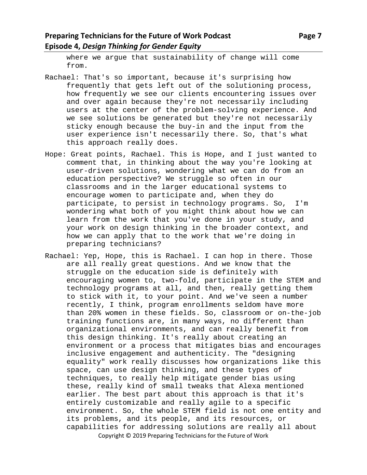where we argue that sustainability of change will come from.

- Rachael: That's so important, because it's surprising how frequently that gets left out of the solutioning process, how frequently we see our clients encountering issues over and over again because they're not necessarily including users at the center of the problem-solving experience. And we see solutions be generated but they're not necessarily sticky enough because the buy-in and the input from the user experience isn't necessarily there. So, that's what this approach really does.
- Hope: Great points, Rachael. This is Hope, and I just wanted to comment that, in thinking about the way you're looking at user-driven solutions, wondering what we can do from an education perspective? We struggle so often in our classrooms and in the larger educational systems to encourage women to participate and, when they do participate, to persist in technology programs. So, I'm wondering what both of you might think about how we can learn from the work that you've done in your study, and your work on design thinking in the broader context, and how we can apply that to the work that we're doing in preparing technicians?
- Copyright © 2019 Preparing Technicians for the Future of Work Rachael: Yep, Hope, this is Rachael. I can hop in there. Those are all really great questions. And we know that the struggle on the education side is definitely with encouraging women to, two-fold, participate in the STEM and technology programs at all, and then, really getting them to stick with it, to your point. And we've seen a number recently, I think, program enrollments seldom have more than 20% women in these fields. So, classroom or on-the-job training functions are, in many ways, no different than organizational environments, and can really benefit from this design thinking. It's really about creating an environment or a process that mitigates bias and encourages inclusive engagement and authenticity. The "designing equality" work really discusses how organizations like this space, can use design thinking, and these types of techniques, to really help mitigate gender bias using these, really kind of small tweaks that Alexa mentioned earlier. The best part about this approach is that it's entirely customizable and really agile to a specific environment. So, the whole STEM field is not one entity and its problems, and its people, and its resources, or capabilities for addressing solutions are really all about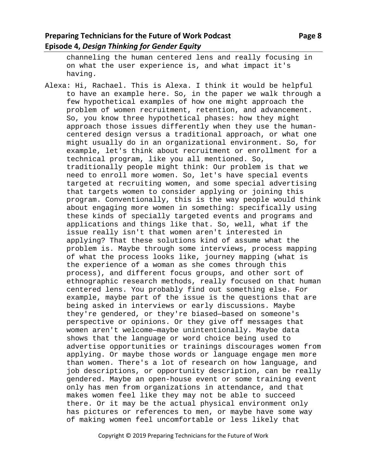channeling the human centered lens and really focusing in on what the user experience is, and what impact it's having.

Alexa: Hi, Rachael. This is Alexa. I think it would be helpful to have an example here. So, in the paper we walk through a few hypothetical examples of how one might approach the problem of women recruitment, retention, and advancement. So, you know three hypothetical phases: how they might approach those issues differently when they use the humancentered design versus a traditional approach, or what one might usually do in an organizational environment. So, for example, let's think about recruitment or enrollment for a technical program, like you all mentioned. So, traditionally people might think: Our problem is that we need to enroll more women. So, let's have special events targeted at recruiting women, and some special advertising that targets women to consider applying or joining this program. Conventionally, this is the way people would think about engaging more women in something: specifically using these kinds of specially targeted events and programs and applications and things like that. So, well, what if the issue really isn't that women aren't interested in applying? That these solutions kind of assume what the problem is. Maybe through some interviews, process mapping of what the process looks like, journey mapping (what is the experience of a woman as she comes through this process), and different focus groups, and other sort of ethnographic research methods, really focused on that human centered lens. You probably find out something else. For example, maybe part of the issue is the questions that are being asked in interviews or early discussions. Maybe they're gendered, or they're biased—based on someone's perspective or opinions. Or they give off messages that women aren't welcome—maybe unintentionally. Maybe data shows that the language or word choice being used to advertise opportunities or trainings discourages women from applying. Or maybe those words or language engage men more than women. There's a lot of research on how language, and job descriptions, or opportunity description, can be really gendered. Maybe an open-house event or some training event only has men from organizations in attendance, and that makes women feel like they may not be able to succeed there. Or it may be the actual physical environment only has pictures or references to men, or maybe have some way of making women feel uncomfortable or less likely that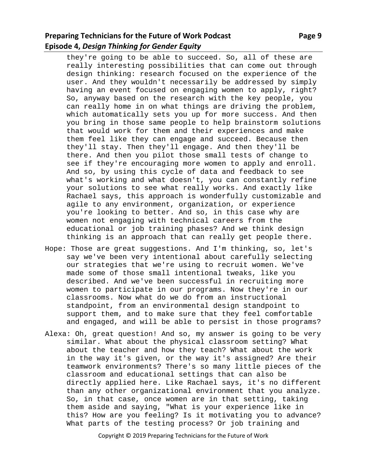### **Preparing Technicians for the Future of Work Podcast Page 9 <b>Page 9 Episode 4,** *Design Thinking for Gender Equity*

they're going to be able to succeed. So, all of these are really interesting possibilities that can come out through design thinking: research focused on the experience of the user. And they wouldn't necessarily be addressed by simply having an event focused on engaging women to apply, right? So, anyway based on the research with the key people, you can really home in on what things are driving the problem, which automatically sets you up for more success. And then you bring in those same people to help brainstorm solutions that would work for them and their experiences and make them feel like they can engage and succeed. Because then they'll stay. Then they'll engage. And then they'll be there. And then you pilot those small tests of change to see if they're encouraging more women to apply and enroll. And so, by using this cycle of data and feedback to see what's working and what doesn't, you can constantly refine your solutions to see what really works. And exactly like Rachael says, this approach is wonderfully customizable and agile to any environment, organization, or experience you're looking to better. And so, in this case why are women not engaging with technical careers from the educational or job training phases? And we think design thinking is an approach that can really get people there.

- Hope: Those are great suggestions. And I'm thinking, so, let's say we've been very intentional about carefully selecting our strategies that we're using to recruit women. We've made some of those small intentional tweaks, like you described. And we've been successful in recruiting more women to participate in our programs. Now they're in our classrooms. Now what do we do from an instructional standpoint, from an environmental design standpoint to support them, and to make sure that they feel comfortable and engaged, and will be able to persist in those programs?
- Alexa: Oh, great question! And so, my answer is going to be very similar. What about the physical classroom setting? What about the teacher and how they teach? What about the work in the way it's given, or the way it's assigned? Are their teamwork environments? There's so many little pieces of the classroom and educational settings that can also be directly applied here. Like Rachael says, it's no different than any other organizational environment that you analyze. So, in that case, once women are in that setting, taking them aside and saying, "What is your experience like in this? How are you feeling? Is it motivating you to advance? What parts of the testing process? Or job training and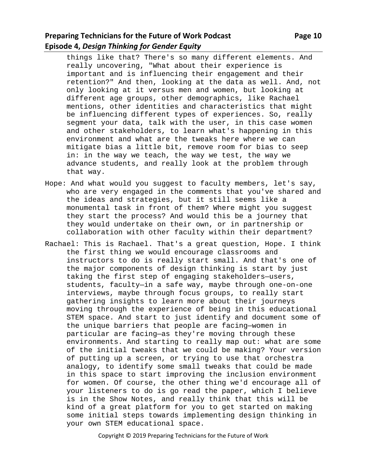things like that? There's so many different elements. And really uncovering, "What about their experience is important and is influencing their engagement and their retention?" And then, looking at the data as well. And, not only looking at it versus men and women, but looking at different age groups, other demographics, like Rachael mentions, other identities and characteristics that might be influencing different types of experiences. So, really segment your data, talk with the user, in this case women and other stakeholders, to learn what's happening in this environment and what are the tweaks here where we can mitigate bias a little bit, remove room for bias to seep in: in the way we teach, the way we test, the way we advance students, and really look at the problem through that way.

- Hope: And what would you suggest to faculty members, let's say, who are very engaged in the comments that you've shared and the ideas and strategies, but it still seems like a monumental task in front of them? Where might you suggest they start the process? And would this be a journey that they would undertake on their own, or in partnership or collaboration with other faculty within their department?
- Rachael: This is Rachael. That's a great question, Hope. I think the first thing we would encourage classrooms and instructors to do is really start small. And that's one of the major components of design thinking is start by just taking the first step of engaging stakeholders—users, students, faculty—in a safe way, maybe through one-on-one interviews, maybe through focus groups, to really start gathering insights to learn more about their journeys moving through the experience of being in this educational STEM space. And start to just identify and document some of the unique barriers that people are facing—women in particular are facing—as they're moving through these environments. And starting to really map out: what are some of the initial tweaks that we could be making? Your version of putting up a screen, or trying to use that orchestra analogy, to identify some small tweaks that could be made in this space to start improving the inclusion environment for women. Of course, the other thing we'd encourage all of your listeners to do is go read the paper, which I believe is in the Show Notes, and really think that this will be kind of a great platform for you to get started on making some initial steps towards implementing design thinking in your own STEM educational space.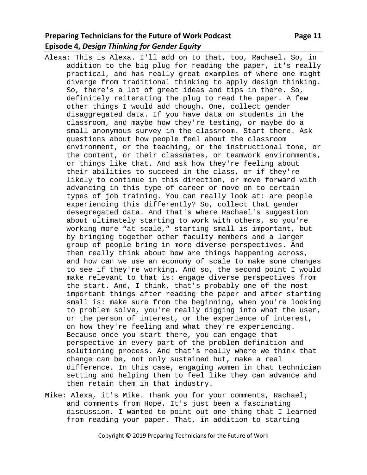## **Preparing Technicians for the Future of Work Podcast Page 11 Episode 4,** *Design Thinking for Gender Equity*

- Alexa: This is Alexa. I'll add on to that, too, Rachael. So, in addition to the big plug for reading the paper, it's really practical, and has really great examples of where one might diverge from traditional thinking to apply design thinking. So, there's a lot of great ideas and tips in there. So, definitely reiterating the plug to read the paper. A few other things I would add though. One, collect gender disaggregated data. If you have data on students in the classroom, and maybe how they're testing, or maybe do a small anonymous survey in the classroom. Start there. Ask questions about how people feel about the classroom environment, or the teaching, or the instructional tone, or the content, or their classmates, or teamwork environments, or things like that. And ask how they're feeling about their abilities to succeed in the class, or if they're likely to continue in this direction, or move forward with advancing in this type of career or move on to certain types of job training. You can really look at: are people experiencing this differently? So, collect that gender desegregated data. And that's where Rachael's suggestion about ultimately starting to work with others, so you're working more "at scale," starting small is important, but by bringing together other faculty members and a larger group of people bring in more diverse perspectives. And then really think about how are things happening across, and how can we use an economy of scale to make some changes to see if they're working. And so, the second point I would make relevant to that is: engage diverse perspectives from the start. And, I think, that's probably one of the most important things after reading the paper and after starting small is: make sure from the beginning, when you're looking to problem solve, you're really digging into what the user, or the person of interest, or the experience of interest, on how they're feeling and what they're experiencing. Because once you start there, you can engage that perspective in every part of the problem definition and solutioning process. And that's really where we think that change can be, not only sustained but, make a real difference. In this case, engaging women in that technician setting and helping them to feel like they can advance and then retain them in that industry.
- Mike: Alexa, it's Mike. Thank you for your comments, Rachael; and comments from Hope. It's just been a fascinating discussion. I wanted to point out one thing that I learned from reading your paper. That, in addition to starting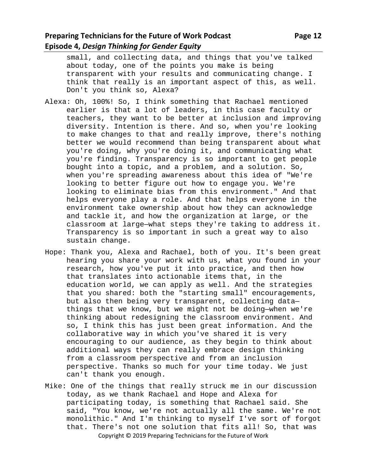small, and collecting data, and things that you've talked about today, one of the points you make is being transparent with your results and communicating change. I think that really is an important aspect of this, as well. Don't you think so, Alexa?

- Alexa: Oh, 100%! So, I think something that Rachael mentioned earlier is that a lot of leaders, in this case faculty or teachers, they want to be better at inclusion and improving diversity. Intention is there. And so, when you're looking to make changes to that and really improve, there's nothing better we would recommend than being transparent about what you're doing, why you're doing it, and communicating what you're finding. Transparency is so important to get people bought into a topic, and a problem, and a solution. So, when you're spreading awareness about this idea of "We're looking to better figure out how to engage you. We're looking to eliminate bias from this environment." And that helps everyone play a role. And that helps everyone in the environment take ownership about how they can acknowledge and tackle it, and how the organization at large, or the classroom at large—what steps they're taking to address it. Transparency is so important in such a great way to also sustain change.
- Hope: Thank you, Alexa and Rachael, both of you. It's been great hearing you share your work with us, what you found in your research, how you've put it into practice, and then how that translates into actionable items that, in the education world, we can apply as well. And the strategies that you shared: both the "starting small" encouragements, but also then being very transparent, collecting data things that we know, but we might not be doing—when we're thinking about redesigning the classroom environment. And so, I think this has just been great information. And the collaborative way in which you've shared it is very encouraging to our audience, as they begin to think about additional ways they can really embrace design thinking from a classroom perspective and from an inclusion perspective. Thanks so much for your time today. We just can't thank you enough.
- Copyright © 2019 Preparing Technicians for the Future of Work Mike: One of the things that really struck me in our discussion today, as we thank Rachael and Hope and Alexa for participating today, is something that Rachael said. She said, "You know, we're not actually all the same. We're not monolithic." And I'm thinking to myself I've sort of forgot that. There's not one solution that fits all! So, that was